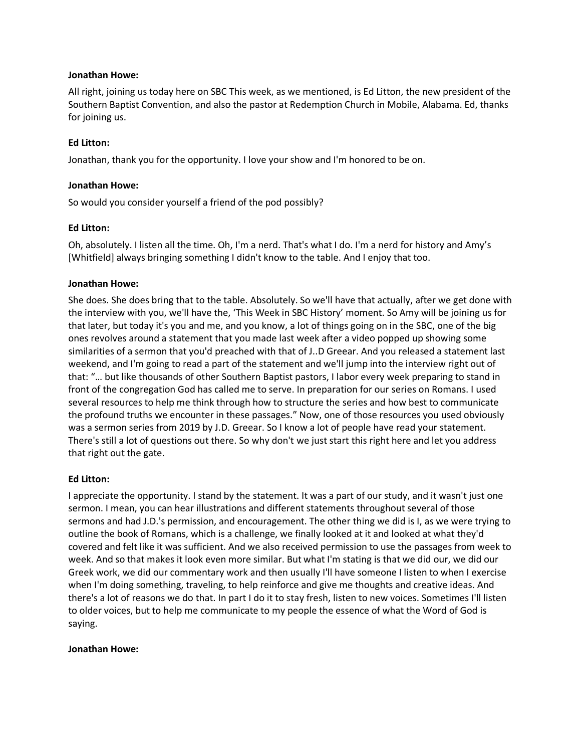#### **Jonathan Howe:**

All right, joining us today here on SBC This week, as we mentioned, is Ed Litton, the new president of the Southern Baptist Convention, and also the pastor at Redemption Church in Mobile, Alabama. Ed, thanks for joining us.

## **Ed Litton:**

Jonathan, thank you for the opportunity. I love your show and I'm honored to be on.

#### **Jonathan Howe:**

So would you consider yourself a friend of the pod possibly?

#### **Ed Litton:**

Oh, absolutely. I listen all the time. Oh, I'm a nerd. That's what I do. I'm a nerd for history and Amy's [Whitfield] always bringing something I didn't know to the table. And I enjoy that too.

#### **Jonathan Howe:**

She does. She does bring that to the table. Absolutely. So we'll have that actually, after we get done with the interview with you, we'll have the, 'This Week in SBC History' moment. So Amy will be joining us for that later, but today it's you and me, and you know, a lot of things going on in the SBC, one of the big ones revolves around a statement that you made last week after a video popped up showing some similarities of a sermon that you'd preached with that of J..D Greear. And you released a statement last weekend, and I'm going to read a part of the statement and we'll jump into the interview right out of that: "… but like thousands of other Southern Baptist pastors, I labor every week preparing to stand in front of the congregation God has called me to serve. In preparation for our series on Romans. I used several resources to help me think through how to structure the series and how best to communicate the profound truths we encounter in these passages." Now, one of those resources you used obviously was a sermon series from 2019 by J.D. Greear. So I know a lot of people have read your statement. There's still a lot of questions out there. So why don't we just start this right here and let you address that right out the gate.

## **Ed Litton:**

I appreciate the opportunity. I stand by the statement. It was a part of our study, and it wasn't just one sermon. I mean, you can hear illustrations and different statements throughout several of those sermons and had J.D.'s permission, and encouragement. The other thing we did is I, as we were trying to outline the book of Romans, which is a challenge, we finally looked at it and looked at what they'd covered and felt like it was sufficient. And we also received permission to use the passages from week to week. And so that makes it look even more similar. But what I'm stating is that we did our, we did our Greek work, we did our commentary work and then usually I'll have someone I listen to when I exercise when I'm doing something, traveling, to help reinforce and give me thoughts and creative ideas. And there's a lot of reasons we do that. In part I do it to stay fresh, listen to new voices. Sometimes I'll listen to older voices, but to help me communicate to my people the essence of what the Word of God is saying.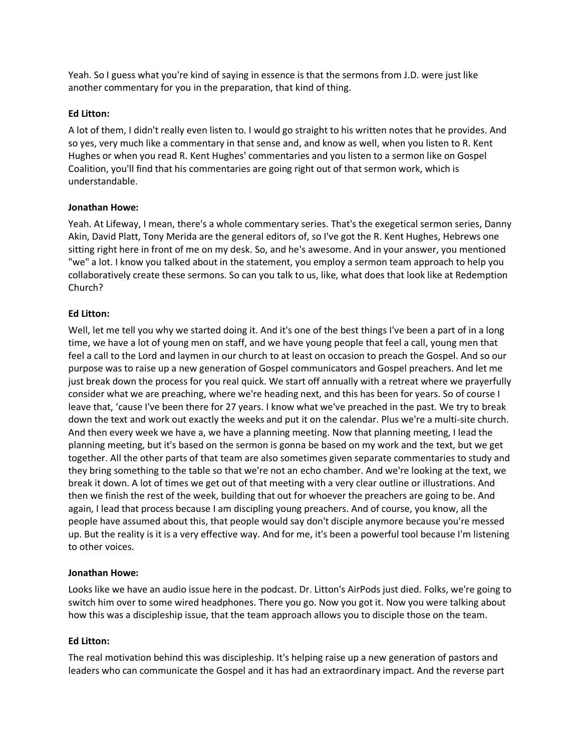Yeah. So I guess what you're kind of saying in essence is that the sermons from J.D. were just like another commentary for you in the preparation, that kind of thing.

## **Ed Litton:**

A lot of them, I didn't really even listen to. I would go straight to his written notes that he provides. And so yes, very much like a commentary in that sense and, and know as well, when you listen to R. Kent Hughes or when you read R. Kent Hughes' commentaries and you listen to a sermon like on Gospel Coalition, you'll find that his commentaries are going right out of that sermon work, which is understandable.

#### **Jonathan Howe:**

Yeah. At Lifeway, I mean, there's a whole commentary series. That's the exegetical sermon series, Danny Akin, David Platt, Tony Merida are the general editors of, so I've got the R. Kent Hughes, Hebrews one sitting right here in front of me on my desk. So, and he's awesome. And in your answer, you mentioned "we" a lot. I know you talked about in the statement, you employ a sermon team approach to help you collaboratively create these sermons. So can you talk to us, like, what does that look like at Redemption Church?

#### **Ed Litton:**

Well, let me tell you why we started doing it. And it's one of the best things I've been a part of in a long time, we have a lot of young men on staff, and we have young people that feel a call, young men that feel a call to the Lord and laymen in our church to at least on occasion to preach the Gospel. And so our purpose was to raise up a new generation of Gospel communicators and Gospel preachers. And let me just break down the process for you real quick. We start off annually with a retreat where we prayerfully consider what we are preaching, where we're heading next, and this has been for years. So of course I leave that, 'cause I've been there for 27 years. I know what we've preached in the past. We try to break down the text and work out exactly the weeks and put it on the calendar. Plus we're a multi-site church. And then every week we have a, we have a planning meeting. Now that planning meeting, I lead the planning meeting, but it's based on the sermon is gonna be based on my work and the text, but we get together. All the other parts of that team are also sometimes given separate commentaries to study and they bring something to the table so that we're not an echo chamber. And we're looking at the text, we break it down. A lot of times we get out of that meeting with a very clear outline or illustrations. And then we finish the rest of the week, building that out for whoever the preachers are going to be. And again, I lead that process because I am discipling young preachers. And of course, you know, all the people have assumed about this, that people would say don't disciple anymore because you're messed up. But the reality is it is a very effective way. And for me, it's been a powerful tool because I'm listening to other voices.

## **Jonathan Howe:**

Looks like we have an audio issue here in the podcast. Dr. Litton's AirPods just died. Folks, we're going to switch him over to some wired headphones. There you go. Now you got it. Now you were talking about how this was a discipleship issue, that the team approach allows you to disciple those on the team.

## **Ed Litton:**

The real motivation behind this was discipleship. It's helping raise up a new generation of pastors and leaders who can communicate the Gospel and it has had an extraordinary impact. And the reverse part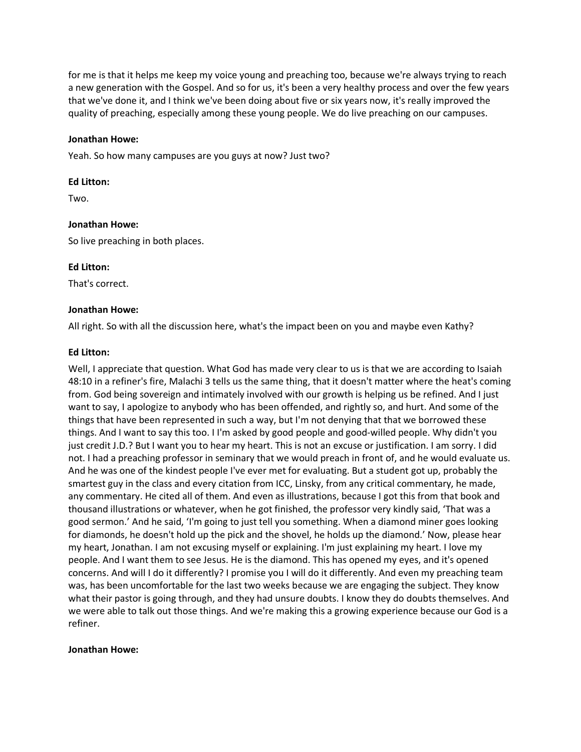for me is that it helps me keep my voice young and preaching too, because we're always trying to reach a new generation with the Gospel. And so for us, it's been a very healthy process and over the few years that we've done it, and I think we've been doing about five or six years now, it's really improved the quality of preaching, especially among these young people. We do live preaching on our campuses.

#### **Jonathan Howe:**

Yeah. So how many campuses are you guys at now? Just two?

#### **Ed Litton:**

Two.

#### **Jonathan Howe:**

So live preaching in both places.

#### **Ed Litton:**

That's correct.

#### **Jonathan Howe:**

All right. So with all the discussion here, what's the impact been on you and maybe even Kathy?

#### **Ed Litton:**

Well, I appreciate that question. What God has made very clear to us is that we are according to Isaiah 48:10 in a refiner's fire, Malachi 3 tells us the same thing, that it doesn't matter where the heat's coming from. God being sovereign and intimately involved with our growth is helping us be refined. And I just want to say, I apologize to anybody who has been offended, and rightly so, and hurt. And some of the things that have been represented in such a way, but I'm not denying that that we borrowed these things. And I want to say this too. I I'm asked by good people and good-willed people. Why didn't you just credit J.D.? But I want you to hear my heart. This is not an excuse or justification. I am sorry. I did not. I had a preaching professor in seminary that we would preach in front of, and he would evaluate us. And he was one of the kindest people I've ever met for evaluating. But a student got up, probably the smartest guy in the class and every citation from ICC, Linsky, from any critical commentary, he made, any commentary. He cited all of them. And even as illustrations, because I got this from that book and thousand illustrations or whatever, when he got finished, the professor very kindly said, 'That was a good sermon.' And he said, 'I'm going to just tell you something. When a diamond miner goes looking for diamonds, he doesn't hold up the pick and the shovel, he holds up the diamond.' Now, please hear my heart, Jonathan. I am not excusing myself or explaining. I'm just explaining my heart. I love my people. And I want them to see Jesus. He is the diamond. This has opened my eyes, and it's opened concerns. And will I do it differently? I promise you I will do it differently. And even my preaching team was, has been uncomfortable for the last two weeks because we are engaging the subject. They know what their pastor is going through, and they had unsure doubts. I know they do doubts themselves. And we were able to talk out those things. And we're making this a growing experience because our God is a refiner.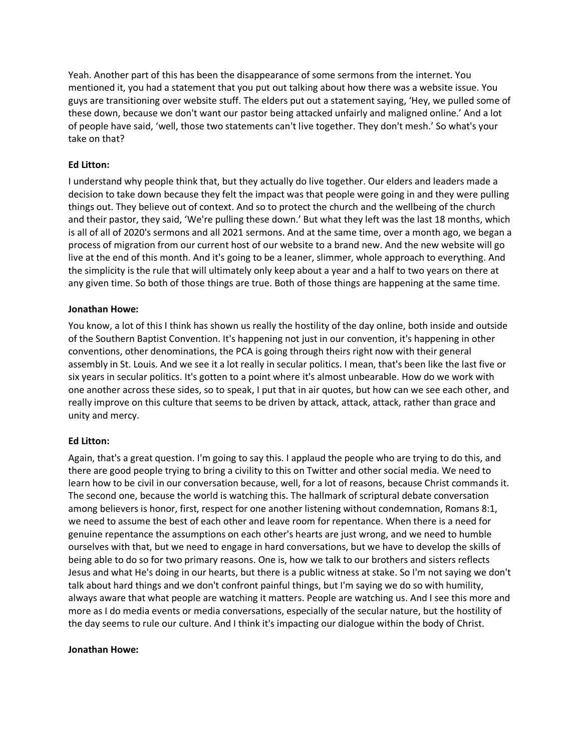Yeah. Another part of this has been the disappearance of some sermons from the internet. You mentioned it, you had a statement that you put out talking about how there was a website issue. You guys are transitioning over website stuff. The elders put out a statement saying, 'Hey, we pulled some of these down, because we don't want our pastor being attacked unfairly and maligned online.' And a lot of people have said, 'well, those two statements can't live together. They don't mesh.' So what's your take on that?

## **Ed Litton:**

I understand why people think that, but they actually do live together. Our elders and leaders made a decision to take down because they felt the impact was that people were going in and they were pulling things out. They believe out of context. And so to protect the church and the wellbeing of the church and their pastor, they said, 'We're pulling these down.' But what they left was the last 18 months, which is all of all of 2020's sermons and all 2021 sermons. And at the same time, over a month ago, we began a process of migration from our current host of our website to a brand new. And the new website will go live at the end of this month. And it's going to be a leaner, slimmer, whole approach to everything. And the simplicity is the rule that will ultimately only keep about a year and a half to two years on there at any given time. So both of those things are true. Both of those things are happening at the same time.

#### **Jonathan Howe:**

You know, a lot of this I think has shown us really the hostility of the day online, both inside and outside of the Southern Baptist Convention. It's happening not just in our convention, it's happening in other conventions, other denominations, the PCA is going through theirs right now with their general assembly in St. Louis. And we see it a lot really in secular politics. I mean, that's been like the last five or six years in secular politics. It's gotten to a point where it's almost unbearable. How do we work with one another across these sides, so to speak, I put that in air quotes, but how can we see each other, and really improve on this culture that seems to be driven by attack, attack, attack, rather than grace and unity and mercy.

## **Ed Litton:**

Again, that's a great question. I'm going to say this. I applaud the people who are trying to do this, and there are good people trying to bring a civility to this on Twitter and other social media. We need to learn how to be civil in our conversation because, well, for a lot of reasons, because Christ commands it. The second one, because the world is watching this. The hallmark of scriptural debate conversation among believers is honor, first, respect for one another listening without condemnation, Romans 8:1, we need to assume the best of each other and leave room for repentance. When there is a need for genuine repentance the assumptions on each other's hearts are just wrong, and we need to humble ourselves with that, but we need to engage in hard conversations, but we have to develop the skills of being able to do so for two primary reasons. One is, how we talk to our brothers and sisters reflects Jesus and what He's doing in our hearts, but there is a public witness at stake. So I'm not saying we don't talk about hard things and we don't confront painful things, but I'm saying we do so with humility, always aware that what people are watching it matters. People are watching us. And I see this more and more as I do media events or media conversations, especially of the secular nature, but the hostility of the day seems to rule our culture. And I think it's impacting our dialogue within the body of Christ.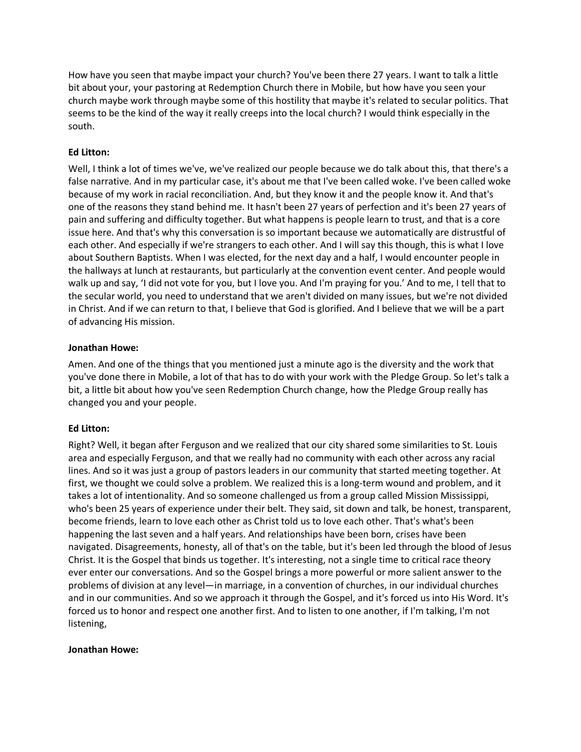How have you seen that maybe impact your church? You've been there 27 years. I want to talk a little bit about your, your pastoring at Redemption Church there in Mobile, but how have you seen your church maybe work through maybe some of this hostility that maybe it's related to secular politics. That seems to be the kind of the way it really creeps into the local church? I would think especially in the south.

# **Ed Litton:**

Well, I think a lot of times we've, we've realized our people because we do talk about this, that there's a false narrative. And in my particular case, it's about me that I've been called woke. I've been called woke because of my work in racial reconciliation. And, but they know it and the people know it. And that's one of the reasons they stand behind me. It hasn't been 27 years of perfection and it's been 27 years of pain and suffering and difficulty together. But what happens is people learn to trust, and that is a core issue here. And that's why this conversation is so important because we automatically are distrustful of each other. And especially if we're strangers to each other. And I will say this though, this is what I love about Southern Baptists. When I was elected, for the next day and a half, I would encounter people in the hallways at lunch at restaurants, but particularly at the convention event center. And people would walk up and say, 'I did not vote for you, but I love you. And I'm praying for you.' And to me, I tell that to the secular world, you need to understand that we aren't divided on many issues, but we're not divided in Christ. And if we can return to that, I believe that God is glorified. And I believe that we will be a part of advancing His mission.

## **Jonathan Howe:**

Amen. And one of the things that you mentioned just a minute ago is the diversity and the work that you've done there in Mobile, a lot of that has to do with your work with the Pledge Group. So let's talk a bit, a little bit about how you've seen Redemption Church change, how the Pledge Group really has changed you and your people.

## **Ed Litton:**

Right? Well, it began after Ferguson and we realized that our city shared some similarities to St. Louis area and especially Ferguson, and that we really had no community with each other across any racial lines. And so it was just a group of pastors leaders in our community that started meeting together. At first, we thought we could solve a problem. We realized this is a long-term wound and problem, and it takes a lot of intentionality. And so someone challenged us from a group called Mission Mississippi, who's been 25 years of experience under their belt. They said, sit down and talk, be honest, transparent, become friends, learn to love each other as Christ told us to love each other. That's what's been happening the last seven and a half years. And relationships have been born, crises have been navigated. Disagreements, honesty, all of that's on the table, but it's been led through the blood of Jesus Christ. It is the Gospel that binds us together. It's interesting, not a single time to critical race theory ever enter our conversations. And so the Gospel brings a more powerful or more salient answer to the problems of division at any level—in marriage, in a convention of churches, in our individual churches and in our communities. And so we approach it through the Gospel, and it's forced us into His Word. It's forced us to honor and respect one another first. And to listen to one another, if I'm talking, I'm not listening,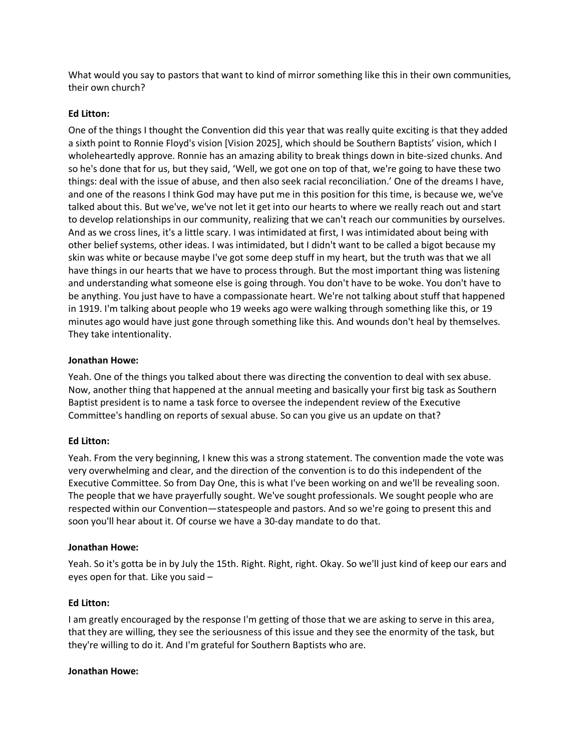What would you say to pastors that want to kind of mirror something like this in their own communities, their own church?

# **Ed Litton:**

One of the things I thought the Convention did this year that was really quite exciting is that they added a sixth point to Ronnie Floyd's vision [Vision 2025], which should be Southern Baptists' vision, which I wholeheartedly approve. Ronnie has an amazing ability to break things down in bite-sized chunks. And so he's done that for us, but they said, 'Well, we got one on top of that, we're going to have these two things: deal with the issue of abuse, and then also seek racial reconciliation.' One of the dreams I have, and one of the reasons I think God may have put me in this position for this time, is because we, we've talked about this. But we've, we've not let it get into our hearts to where we really reach out and start to develop relationships in our community, realizing that we can't reach our communities by ourselves. And as we cross lines, it's a little scary. I was intimidated at first, I was intimidated about being with other belief systems, other ideas. I was intimidated, but I didn't want to be called a bigot because my skin was white or because maybe I've got some deep stuff in my heart, but the truth was that we all have things in our hearts that we have to process through. But the most important thing was listening and understanding what someone else is going through. You don't have to be woke. You don't have to be anything. You just have to have a compassionate heart. We're not talking about stuff that happened in 1919. I'm talking about people who 19 weeks ago were walking through something like this, or 19 minutes ago would have just gone through something like this. And wounds don't heal by themselves. They take intentionality.

## **Jonathan Howe:**

Yeah. One of the things you talked about there was directing the convention to deal with sex abuse. Now, another thing that happened at the annual meeting and basically your first big task as Southern Baptist president is to name a task force to oversee the independent review of the Executive Committee's handling on reports of sexual abuse. So can you give us an update on that?

# **Ed Litton:**

Yeah. From the very beginning, I knew this was a strong statement. The convention made the vote was very overwhelming and clear, and the direction of the convention is to do this independent of the Executive Committee. So from Day One, this is what I've been working on and we'll be revealing soon. The people that we have prayerfully sought. We've sought professionals. We sought people who are respected within our Convention—statespeople and pastors. And so we're going to present this and soon you'll hear about it. Of course we have a 30-day mandate to do that.

## **Jonathan Howe:**

Yeah. So it's gotta be in by July the 15th. Right. Right, right. Okay. So we'll just kind of keep our ears and eyes open for that. Like you said –

## **Ed Litton:**

I am greatly encouraged by the response I'm getting of those that we are asking to serve in this area, that they are willing, they see the seriousness of this issue and they see the enormity of the task, but they're willing to do it. And I'm grateful for Southern Baptists who are.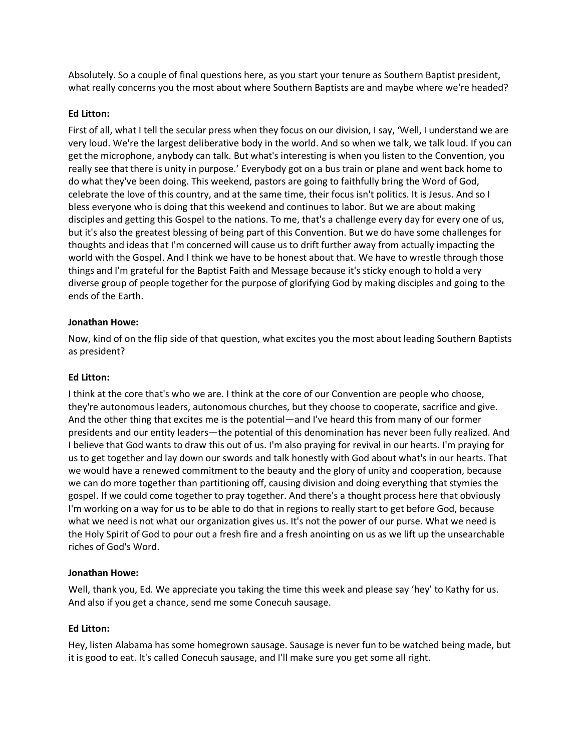Absolutely. So a couple of final questions here, as you start your tenure as Southern Baptist president, what really concerns you the most about where Southern Baptists are and maybe where we're headed?

# **Ed Litton:**

First of all, what I tell the secular press when they focus on our division, I say, 'Well, I understand we are very loud. We're the largest deliberative body in the world. And so when we talk, we talk loud. If you can get the microphone, anybody can talk. But what's interesting is when you listen to the Convention, you really see that there is unity in purpose.' Everybody got on a bus train or plane and went back home to do what they've been doing. This weekend, pastors are going to faithfully bring the Word of God, celebrate the love of this country, and at the same time, their focus isn't politics. It is Jesus. And so I bless everyone who is doing that this weekend and continues to labor. But we are about making disciples and getting this Gospel to the nations. To me, that's a challenge every day for every one of us, but it's also the greatest blessing of being part of this Convention. But we do have some challenges for thoughts and ideas that I'm concerned will cause us to drift further away from actually impacting the world with the Gospel. And I think we have to be honest about that. We have to wrestle through those things and I'm grateful for the Baptist Faith and Message because it's sticky enough to hold a very diverse group of people together for the purpose of glorifying God by making disciples and going to the ends of the Earth.

# **Jonathan Howe:**

Now, kind of on the flip side of that question, what excites you the most about leading Southern Baptists as president?

# **Ed Litton:**

I think at the core that's who we are. I think at the core of our Convention are people who choose, they're autonomous leaders, autonomous churches, but they choose to cooperate, sacrifice and give. And the other thing that excites me is the potential—and I've heard this from many of our former presidents and our entity leaders—the potential of this denomination has never been fully realized. And I believe that God wants to draw this out of us. I'm also praying for revival in our hearts. I'm praying for us to get together and lay down our swords and talk honestly with God about what's in our hearts. That we would have a renewed commitment to the beauty and the glory of unity and cooperation, because we can do more together than partitioning off, causing division and doing everything that stymies the gospel. If we could come together to pray together. And there's a thought process here that obviously I'm working on a way for us to be able to do that in regions to really start to get before God, because what we need is not what our organization gives us. It's not the power of our purse. What we need is the Holy Spirit of God to pour out a fresh fire and a fresh anointing on us as we lift up the unsearchable riches of God's Word.

## **Jonathan Howe:**

Well, thank you, Ed. We appreciate you taking the time this week and please say 'hey' to Kathy for us. And also if you get a chance, send me some Conecuh sausage.

## **Ed Litton:**

Hey, listen Alabama has some homegrown sausage. Sausage is never fun to be watched being made, but it is good to eat. It's called Conecuh sausage, and I'll make sure you get some all right.